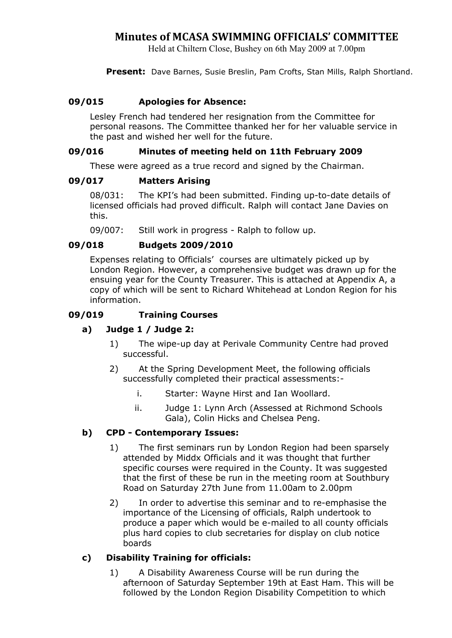## Minutes of MCASA SWIMMING OFFICIALS' COMMITTEE

Held at Chiltern Close, Bushey on 6th May 2009 at 7.00pm

Present: Dave Barnes, Susie Breslin, Pam Crofts, Stan Mills, Ralph Shortland.

## 09/015 Apologies for Absence:

Lesley French had tendered her resignation from the Committee for personal reasons. The Committee thanked her for her valuable service in the past and wished her well for the future.

## 09/016 Minutes of meeting held on 11th February 2009

These were agreed as a true record and signed by the Chairman.

### 09/017 Matters Arising

08/031: The KPI's had been submitted. Finding up-to-date details of licensed officials had proved difficult. Ralph will contact Jane Davies on this.

09/007: Still work in progress - Ralph to follow up.

### 09/018 Budgets 2009/2010

 Expenses relating to Officials' courses are ultimately picked up by London Region. However, a comprehensive budget was drawn up for the ensuing year for the County Treasurer. This is attached at Appendix A, a copy of which will be sent to Richard Whitehead at London Region for his information.

#### 09/019 Training Courses

### a) Judge 1 / Judge 2:

- 1) The wipe-up day at Perivale Community Centre had proved successful.
- 2) At the Spring Development Meet, the following officials successfully completed their practical assessments:
	- i. Starter: Wayne Hirst and Ian Woollard.
	- ii. Judge 1: Lynn Arch (Assessed at Richmond Schools Gala), Colin Hicks and Chelsea Peng.

### b) CPD - Contemporary Issues:

- 1) The first seminars run by London Region had been sparsely attended by Middx Officials and it was thought that further specific courses were required in the County. It was suggested that the first of these be run in the meeting room at Southbury Road on Saturday 27th June from 11.00am to 2.00pm
- 2) In order to advertise this seminar and to re-emphasise the importance of the Licensing of officials, Ralph undertook to produce a paper which would be e-mailed to all county officials plus hard copies to club secretaries for display on club notice boards

## c) Disability Training for officials:

1) A Disability Awareness Course will be run during the afternoon of Saturday September 19th at East Ham. This will be followed by the London Region Disability Competition to which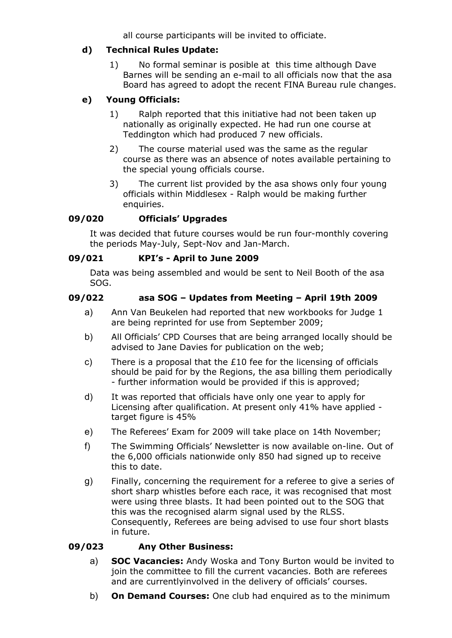all course participants will be invited to officiate.

## d) Technical Rules Update:

1) No formal seminar is posible at this time although Dave Barnes will be sending an e-mail to all officials now that the asa Board has agreed to adopt the recent FINA Bureau rule changes.

## e) Young Officials:

- 1) Ralph reported that this initiative had not been taken up nationally as originally expected. He had run one course at Teddington which had produced 7 new officials.
- 2) The course material used was the same as the regular course as there was an absence of notes available pertaining to the special young officials course.
- 3) The current list provided by the asa shows only four young officials within Middlesex - Ralph would be making further enquiries.

## 09/020 Officials' Upgrades

It was decided that future courses would be run four-monthly covering the periods May-July, Sept-Nov and Jan-March.

## 09/021 KPI's - April to June 2009

Data was being assembled and would be sent to Neil Booth of the asa SOG.

## 09/022 asa SOG – Updates from Meeting – April 19th 2009

- a) Ann Van Beukelen had reported that new workbooks for Judge 1 are being reprinted for use from September 2009;
- b) All Officials' CPD Courses that are being arranged locally should be advised to Jane Davies for publication on the web;
- c) There is a proposal that the £10 fee for the licensing of officials should be paid for by the Regions, the asa billing them periodically - further information would be provided if this is approved;
- d) It was reported that officials have only one year to apply for Licensing after qualification. At present only 41% have applied target figure is 45%
- e) The Referees' Exam for 2009 will take place on 14th November;
- f) The Swimming Officials' Newsletter is now available on-line. Out of the 6,000 officials nationwide only 850 had signed up to receive this to date.
- g) Finally, concerning the requirement for a referee to give a series of short sharp whistles before each race, it was recognised that most were using three blasts. It had been pointed out to the SOG that this was the recognised alarm signal used by the RLSS. Consequently, Referees are being advised to use four short blasts in future.

## 09/023 Any Other Business:

- a) SOC Vacancies: Andy Woska and Tony Burton would be invited to join the committee to fill the current vacancies. Both are referees and are currentlyinvolved in the delivery of officials' courses.
- b) On Demand Courses: One club had enquired as to the minimum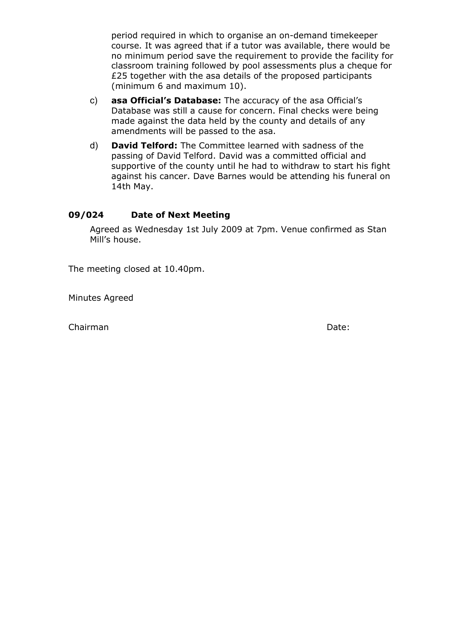period required in which to organise an on-demand timekeeper course. It was agreed that if a tutor was available, there would be no minimum period save the requirement to provide the facility for classroom training followed by pool assessments plus a cheque for £25 together with the asa details of the proposed participants (minimum 6 and maximum 10).

- c) asa Official's Database: The accuracy of the asa Official's Database was still a cause for concern. Final checks were being made against the data held by the county and details of any amendments will be passed to the asa.
- d) David Telford: The Committee learned with sadness of the passing of David Telford. David was a committed official and supportive of the county until he had to withdraw to start his fight against his cancer. Dave Barnes would be attending his funeral on 14th May.

## 09/024 Date of Next Meeting

Agreed as Wednesday 1st July 2009 at 7pm. Venue confirmed as Stan Mill's house.

The meeting closed at 10.40pm.

Minutes Agreed

Chairman Date: Chairman Date: Chairman Date: Chairman Date: Date: Date: Date: Date: Date: Date: Date: Date: Date: Date: Date: Date: Date: Date: Date: Date: Date: Date: Date: Date: Date: Date: Date: Date: Date: Date: Date: